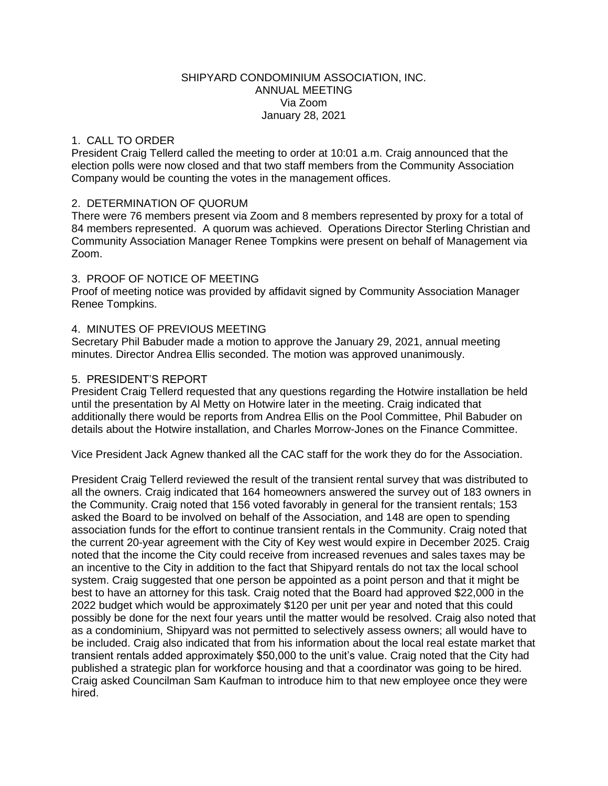### SHIPYARD CONDOMINIUM ASSOCIATION, INC. ANNUAL MEETING Via Zoom January 28, 2021

## 1. CALL TO ORDER

President Craig Tellerd called the meeting to order at 10:01 a.m. Craig announced that the election polls were now closed and that two staff members from the Community Association Company would be counting the votes in the management offices.

### 2. DETERMINATION OF QUORUM

There were 76 members present via Zoom and 8 members represented by proxy for a total of 84 members represented. A quorum was achieved. Operations Director Sterling Christian and Community Association Manager Renee Tompkins were present on behalf of Management via Zoom.

# 3. PROOF OF NOTICE OF MEETING

Proof of meeting notice was provided by affidavit signed by Community Association Manager Renee Tompkins.

# 4. MINUTES OF PREVIOUS MEETING

Secretary Phil Babuder made a motion to approve the January 29, 2021, annual meeting minutes. Director Andrea Ellis seconded. The motion was approved unanimously.

### 5. PRESIDENT'S REPORT

President Craig Tellerd requested that any questions regarding the Hotwire installation be held until the presentation by Al Metty on Hotwire later in the meeting. Craig indicated that additionally there would be reports from Andrea Ellis on the Pool Committee, Phil Babuder on details about the Hotwire installation, and Charles Morrow-Jones on the Finance Committee.

Vice President Jack Agnew thanked all the CAC staff for the work they do for the Association.

President Craig Tellerd reviewed the result of the transient rental survey that was distributed to all the owners. Craig indicated that 164 homeowners answered the survey out of 183 owners in the Community. Craig noted that 156 voted favorably in general for the transient rentals; 153 asked the Board to be involved on behalf of the Association, and 148 are open to spending association funds for the effort to continue transient rentals in the Community. Craig noted that the current 20-year agreement with the City of Key west would expire in December 2025. Craig noted that the income the City could receive from increased revenues and sales taxes may be an incentive to the City in addition to the fact that Shipyard rentals do not tax the local school system. Craig suggested that one person be appointed as a point person and that it might be best to have an attorney for this task. Craig noted that the Board had approved \$22,000 in the 2022 budget which would be approximately \$120 per unit per year and noted that this could possibly be done for the next four years until the matter would be resolved. Craig also noted that as a condominium, Shipyard was not permitted to selectively assess owners; all would have to be included. Craig also indicated that from his information about the local real estate market that transient rentals added approximately \$50,000 to the unit's value. Craig noted that the City had published a strategic plan for workforce housing and that a coordinator was going to be hired. Craig asked Councilman Sam Kaufman to introduce him to that new employee once they were hired.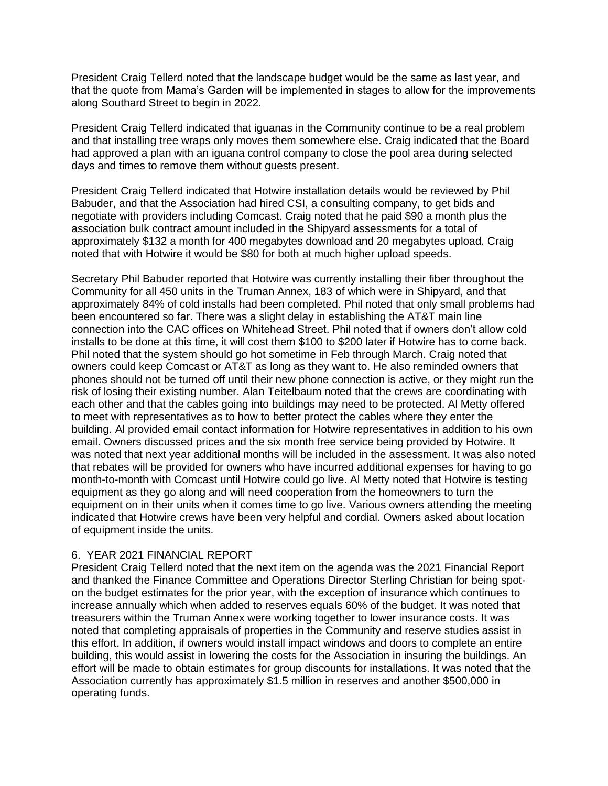President Craig Tellerd noted that the landscape budget would be the same as last year, and that the quote from Mama's Garden will be implemented in stages to allow for the improvements along Southard Street to begin in 2022.

President Craig Tellerd indicated that iguanas in the Community continue to be a real problem and that installing tree wraps only moves them somewhere else. Craig indicated that the Board had approved a plan with an iguana control company to close the pool area during selected days and times to remove them without guests present.

President Craig Tellerd indicated that Hotwire installation details would be reviewed by Phil Babuder, and that the Association had hired CSI, a consulting company, to get bids and negotiate with providers including Comcast. Craig noted that he paid \$90 a month plus the association bulk contract amount included in the Shipyard assessments for a total of approximately \$132 a month for 400 megabytes download and 20 megabytes upload. Craig noted that with Hotwire it would be \$80 for both at much higher upload speeds.

Secretary Phil Babuder reported that Hotwire was currently installing their fiber throughout the Community for all 450 units in the Truman Annex, 183 of which were in Shipyard, and that approximately 84% of cold installs had been completed. Phil noted that only small problems had been encountered so far. There was a slight delay in establishing the AT&T main line connection into the CAC offices on Whitehead Street. Phil noted that if owners don't allow cold installs to be done at this time, it will cost them \$100 to \$200 later if Hotwire has to come back. Phil noted that the system should go hot sometime in Feb through March. Craig noted that owners could keep Comcast or AT&T as long as they want to. He also reminded owners that phones should not be turned off until their new phone connection is active, or they might run the risk of losing their existing number. Alan Teitelbaum noted that the crews are coordinating with each other and that the cables going into buildings may need to be protected. Al Metty offered to meet with representatives as to how to better protect the cables where they enter the building. Al provided email contact information for Hotwire representatives in addition to his own email. Owners discussed prices and the six month free service being provided by Hotwire. It was noted that next year additional months will be included in the assessment. It was also noted that rebates will be provided for owners who have incurred additional expenses for having to go month-to-month with Comcast until Hotwire could go live. Al Metty noted that Hotwire is testing equipment as they go along and will need cooperation from the homeowners to turn the equipment on in their units when it comes time to go live. Various owners attending the meeting indicated that Hotwire crews have been very helpful and cordial. Owners asked about location of equipment inside the units.

# 6. YEAR 2021 FINANCIAL REPORT

President Craig Tellerd noted that the next item on the agenda was the 2021 Financial Report and thanked the Finance Committee and Operations Director Sterling Christian for being spoton the budget estimates for the prior year, with the exception of insurance which continues to increase annually which when added to reserves equals 60% of the budget. It was noted that treasurers within the Truman Annex were working together to lower insurance costs. It was noted that completing appraisals of properties in the Community and reserve studies assist in this effort. In addition, if owners would install impact windows and doors to complete an entire building, this would assist in lowering the costs for the Association in insuring the buildings. An effort will be made to obtain estimates for group discounts for installations. It was noted that the Association currently has approximately \$1.5 million in reserves and another \$500,000 in operating funds.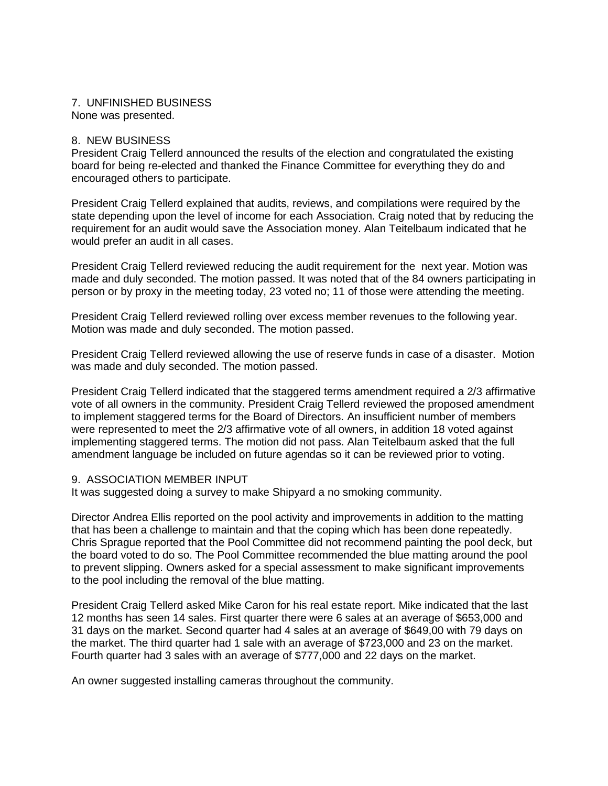#### 7. UNFINISHED BUSINESS None was presented.

### 8. NEW BUSINESS

President Craig Tellerd announced the results of the election and congratulated the existing board for being re-elected and thanked the Finance Committee for everything they do and encouraged others to participate.

President Craig Tellerd explained that audits, reviews, and compilations were required by the state depending upon the level of income for each Association. Craig noted that by reducing the requirement for an audit would save the Association money. Alan Teitelbaum indicated that he would prefer an audit in all cases.

President Craig Tellerd reviewed reducing the audit requirement for the next year. Motion was made and duly seconded. The motion passed. It was noted that of the 84 owners participating in person or by proxy in the meeting today, 23 voted no; 11 of those were attending the meeting.

President Craig Tellerd reviewed rolling over excess member revenues to the following year. Motion was made and duly seconded. The motion passed.

President Craig Tellerd reviewed allowing the use of reserve funds in case of a disaster. Motion was made and duly seconded. The motion passed.

President Craig Tellerd indicated that the staggered terms amendment required a 2/3 affirmative vote of all owners in the community. President Craig Tellerd reviewed the proposed amendment to implement staggered terms for the Board of Directors. An insufficient number of members were represented to meet the 2/3 affirmative vote of all owners, in addition 18 voted against implementing staggered terms. The motion did not pass. Alan Teitelbaum asked that the full amendment language be included on future agendas so it can be reviewed prior to voting.

### 9. ASSOCIATION MEMBER INPUT

It was suggested doing a survey to make Shipyard a no smoking community.

Director Andrea Ellis reported on the pool activity and improvements in addition to the matting that has been a challenge to maintain and that the coping which has been done repeatedly. Chris Sprague reported that the Pool Committee did not recommend painting the pool deck, but the board voted to do so. The Pool Committee recommended the blue matting around the pool to prevent slipping. Owners asked for a special assessment to make significant improvements to the pool including the removal of the blue matting.

President Craig Tellerd asked Mike Caron for his real estate report. Mike indicated that the last 12 months has seen 14 sales. First quarter there were 6 sales at an average of \$653,000 and 31 days on the market. Second quarter had 4 sales at an average of \$649,00 with 79 days on the market. The third quarter had 1 sale with an average of \$723,000 and 23 on the market. Fourth quarter had 3 sales with an average of \$777,000 and 22 days on the market.

An owner suggested installing cameras throughout the community.